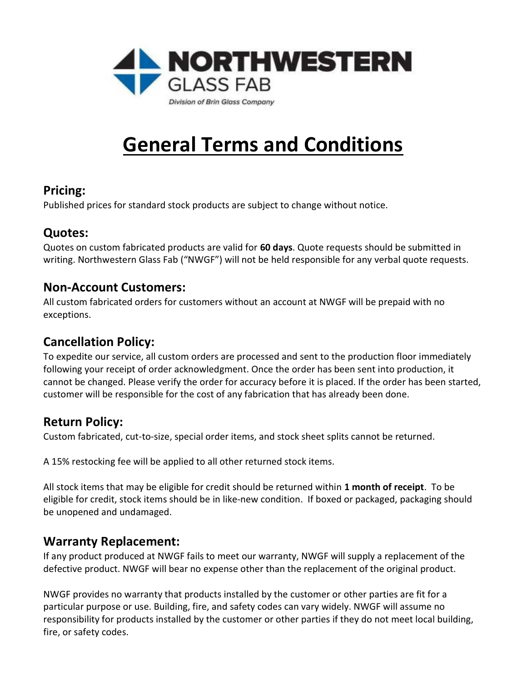

# General Terms and Conditions

#### Pricing:

Published prices for standard stock products are subject to change without notice.

## Quotes:

Quotes on custom fabricated products are valid for 60 days. Quote requests should be submitted in writing. Northwestern Glass Fab ("NWGF") will not be held responsible for any verbal quote requests.

#### Non-Account Customers:

All custom fabricated orders for customers without an account at NWGF will be prepaid with no exceptions.

## Cancellation Policy:

To expedite our service, all custom orders are processed and sent to the production floor immediately following your receipt of order acknowledgment. Once the order has been sent into production, it cannot be changed. Please verify the order for accuracy before it is placed. If the order has been started, customer will be responsible for the cost of any fabrication that has already been done.

## Return Policy:

Custom fabricated, cut-to-size, special order items, and stock sheet splits cannot be returned.

A 15% restocking fee will be applied to all other returned stock items.

All stock items that may be eligible for credit should be returned within 1 month of receipt. To be eligible for credit, stock items should be in like-new condition. If boxed or packaged, packaging should be unopened and undamaged.

### Warranty Replacement:

If any product produced at NWGF fails to meet our warranty, NWGF will supply a replacement of the defective product. NWGF will bear no expense other than the replacement of the original product.

NWGF provides no warranty that products installed by the customer or other parties are fit for a particular purpose or use. Building, fire, and safety codes can vary widely. NWGF will assume no responsibility for products installed by the customer or other parties if they do not meet local building, fire, or safety codes.